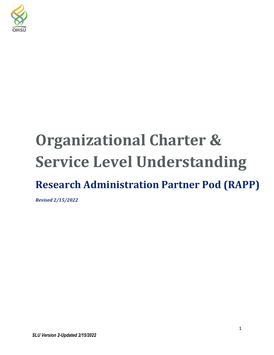

# **Organizational Charter & Service Level Understanding**

# **Research Administration Partner Pod (RAPP)**

*Revised 2/15/2022*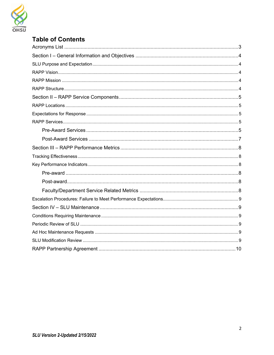

# **Table of Contents**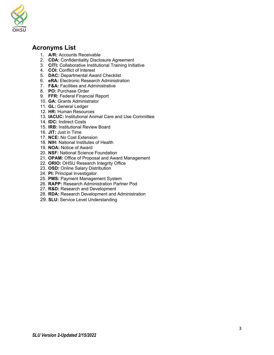

# <span id="page-2-0"></span>**Acronyms List**

- 1. **A/R:** Accounts Receivable
- 2. **CDA:** Confidentiality Disclosure Agreement
- 3. **CITI:** Collaborative Institutional Training Initiative
- 4. **COI:** Conflict of Interest
- 5. **DAC:** Departmental Award Checklist
- 6. **eRA:** Electronic Research Administration
- 7. **F&A:** Facilities and Administrative
- 8. **PO:** Purchase Order
- 9. **FFR:** Federal Financial Report
- 10. **GA:** Grants Administrator
- 11. **GL:** General Ledger
- 12. **HR:** Human Resources
- 13. **IACUC:** Institutional Animal Care and Use Committee
- 14. **IDC:** Indirect Costs
- 15. **IRB:** Institutional Review Board
- 16. **JIT:** Just in Time
- 17. **NCE:** No Cost Extension
- 18. **NIH:** National Institutes of Health
- 19. **NOA:** Notice of Award
- 20. **NSF:** National Science Foundation
- 21. **OPAM:** Office of Proposal and Award Management
- 22. **ORIO:** OHSU Research Integrity Office
- 23. **OSD:** Online Salary Distribution
- 24. **PI:** Principal Investigator
- 25. **PMS:** Payment Management System
- 26. **RAPP:** Research Administration Partner Pod
- 27. **R&D:** Research and Development
- 28. **RDA:** Research Development and Administration
- 29. **SLU:** Service Level Understanding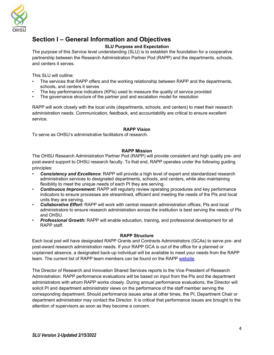

# <span id="page-3-0"></span>**Section I – General Information and Objectives**

#### **SLU Purpose and Expectation**

<span id="page-3-1"></span>The purpose of this Service level understanding (SLU) is to establish the foundation for a cooperative partnership between the Research Administration Partner Pod (RAPP) and the departments, schools, and centers it serves.

This SLU will outline:

- The services that RAPP offers and the working relationship between RAPP and the departments, schools, and centers it serves
- The key performance indicators (KPIs) used to measure the quality of service provided
- The governance structure of the partner pod and escalation model for resolution

RAPP will work closely with the local units (departments, schools, and centers) to meet their research administration needs. Communication, feedback, and accountability are critical to ensure excellent service.

#### **RAPP Vision**

<span id="page-3-2"></span>To serve as OHSU's administrative facilitators of research.

#### **RAPP Mission**

<span id="page-3-3"></span>The OHSU Research Administration Partner Pod (RAPP) will provide consistent and high quality pre- and post-award support to OHSU research faculty. To that end, RAPP operates under the following guiding principles:

- *Consistency and Excellence*: RAPP will provide a high level of expert and standardized research administration services to designated departments, schools, and centers, while also maintaining flexibility to meet the unique needs of each PI they are serving.
- *Continuous Improvement:* RAPP will regularly review operating procedures and key performance indicators to ensure processes are streamlined, efficient and meeting the needs of the PIs and local units they are serving.
- *Collaborative Effort:* RAPP will work with central research administration offices, PIs and local administrators to ensure research administration across the institution is best serving the needs of PIs and OHSU.
- *Professional Growth:* RAPP will enable education, training, and professional development for all RAPP staff.

#### **RAPP Structure**

<span id="page-3-4"></span>Each local pod will have designated RAPP Grants and Contracts Administrators (GCAs) to serve pre- and post-award research administration needs. If your RAPP GCA is out of the office for a planned or unplanned absence, a designated back-up individual will be available to meet your needs from the RAPP team. The current list of RAPP team members can be found on the RAPP [website.](https://www.ohsu.edu/research-innovation/research-administration-partner-pod-rapp)

The Director of Research and Innovation Shared Services reports to the Vice President of Research Administration. RAPP performance evaluations will be based on input from the PIs and the department administrators with whom RAPP works closely. During annual performance evaluations, the Director will solicit PI and department administrator views on the performance of the staff member serving the corresponding department. Should performance issues arise at other times, the PI, Department Chair or department administrator may contact the Director. It is critical that performance issues are brought to the attention of supervisors as soon as they become a concern.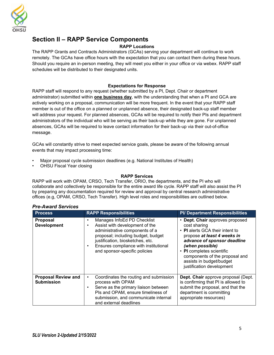

# <span id="page-4-0"></span>**Section II – RAPP Service Components**

#### **RAPP Locations**

<span id="page-4-1"></span>The RAPP Grants and Contracts Administrators (GCAs) serving your department will continue to work remotely. The GCAs have office hours with the expectation that you can contact them during these hours. Should you require an in-person meeting, they will meet you either in your office or via webex. RAPP staff schedules will be distributed to their designated units.

#### **Expectations for Response**

<span id="page-4-2"></span>RAPP staff will respond to any request (whether submitted by a PI, Dept. Chair or department administrator) submitted within **one business day**, with the understanding that when a PI and GCA are actively working on a proposal, communication will be more frequent. In the event that your RAPP staff member is out of the office on a planned or unplanned absence, their designated back-up staff member will address your request. For planned absences, GCAs will be required to notify their PIs and department administrators of the individual who will be serving as their back-up while they are gone. For unplanned absences, GCAs will be required to leave contact information for their back-up via their out-of-office message.

GCAs will constantly strive to meet expected service goals, please be aware of the following annual events that may impact processing time:

- Major proposal cycle submission deadlines (e.g. National Institutes of Health)
- OHSU Fiscal Year closing

#### **RAPP Services**

<span id="page-4-3"></span>RAPP will work with OPAM, CRSO, Tech Transfer, ORIO, the departments, and the PI who will collaborate and collectively be responsible for the entire award life cycle. RAPP staff will also assist the PI by preparing any documentation required for review and approval by central research administrative offices (e.g, OPAM, CRSO, Tech Transfer). High level roles and responsibilities are outlined below.

| <b>Process</b>                                  | <b>RAPP Responsibilities</b>                                                                                                                                                                                                                        | <b>PI/ Department Responsibilities</b>                                                                                                                                                                                                                                                      |
|-------------------------------------------------|-----------------------------------------------------------------------------------------------------------------------------------------------------------------------------------------------------------------------------------------------------|---------------------------------------------------------------------------------------------------------------------------------------------------------------------------------------------------------------------------------------------------------------------------------------------|
| <b>Proposal</b><br><b>Development</b>           | Manages InfoEd PD Checklist<br>Assist with development of the<br>administrative components of a<br>proposal; including budget, budget<br>justification, biosketches, etc.<br>Ensures compliance with institutional<br>and sponsor-specific policies | • Dept. Chair approves proposed<br>cost sharing<br>• PI alerts GCA their intent to<br>propose at least 4 weeks in<br>advance of sponsor deadline<br>(when possible)<br>• PI completes scientific<br>components of the proposal and<br>assists in budget/budget<br>justification development |
| <b>Proposal Review and</b><br><b>Submission</b> | Coordinates the routing and submission<br>process with OPAM<br>Serve as the primary liaison between<br>PIs and OPAM, ensure timeliness of<br>submission, and communicate internal<br>and external deadlines                                         | Dept. Chair approve proposal (Dept.<br>is confirming that PI is allowed to<br>submit the proposal, and that the<br>department is committing<br>appropriate resources)                                                                                                                       |

#### <span id="page-4-4"></span>*Pre-Award Services*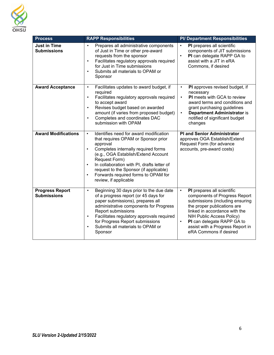

<span id="page-5-0"></span>

| <b>Process</b>                               | <b>RAPP Responsibilities</b>                                                                                                                                                                                                                                                                                                                                                                         | <b>PI/ Department Responsibilities</b>                                                                                                                                                                                                                                                                            |
|----------------------------------------------|------------------------------------------------------------------------------------------------------------------------------------------------------------------------------------------------------------------------------------------------------------------------------------------------------------------------------------------------------------------------------------------------------|-------------------------------------------------------------------------------------------------------------------------------------------------------------------------------------------------------------------------------------------------------------------------------------------------------------------|
| <b>Just in Time</b><br><b>Submissions</b>    | Prepares all administrative components<br>$\bullet$<br>of Just in Time or other pre-award<br>requests from the sponsor<br>Facilitates regulatory approvals required<br>$\bullet$<br>for Just in Time submissions<br>Submits all materials to OPAM or<br>$\bullet$<br>Sponsor                                                                                                                         | PI prepares all scientific<br>$\bullet$<br>components of JIT submissions<br>PI can delegate RAPP GA to<br>$\bullet$<br>assist with a JIT in eRA<br>Commons, if desired                                                                                                                                            |
| <b>Award Acceptance</b>                      | Facilitates updates to award budget, if<br>$\bullet$<br>required<br>Facilitates regulatory approvals required<br>$\bullet$<br>to accept award<br>Revises budget based on awarded<br>$\bullet$<br>amount (if varies from proposed budget)<br>Completes and coordinates DAC<br>$\bullet$<br>submission with OPAM                                                                                       | PI approves revised budget, if<br>$\bullet$<br>necessary<br>PI meets with GCA to review<br>$\bullet$<br>award terms and conditions and<br>grant purchasing guidelines<br><b>Department Administrator is</b><br>$\bullet$<br>notified of significant budget<br>changes                                             |
| <b>Award Modifications</b>                   | Identifies need for award modification<br>$\bullet$<br>that requires OPAM or Sponsor prior<br>approval<br>Completes internally required forms<br>$\bullet$<br>(e.g., OGA Establish/Extend Account<br>Request Form)<br>In collaboration with PI, drafts letter of<br>$\bullet$<br>request to the Sponsor (if applicable)<br>Forwards required forms to OPAM for<br>$\bullet$<br>review, if applicable | <b>PI and Senior Administrator</b><br>approves OGA Establish/Extend<br>Request Form (for advance<br>accounts, pre-award costs)                                                                                                                                                                                    |
| <b>Progress Report</b><br><b>Submissions</b> | Beginning 30 days prior to the due date<br>$\bullet$<br>of a progress report (or 45 days for<br>paper submissions), prepares all<br>administrative components for Progress<br>Report submissions<br>Facilitates regulatory approvals required<br>$\bullet$<br>for Progress Report submissions<br>Submits all materials to OPAM or<br>$\bullet$<br>Sponsor                                            | PI prepares all scientific<br>$\bullet$<br>components of Progress Report<br>submissions (including ensuring<br>the proper publications are<br>linked in accordance with the<br>NIH Public Access Policy)<br>PI can delegate RAPP GA to<br>$\bullet$<br>assist with a Progress Report in<br>eRA Commons if desired |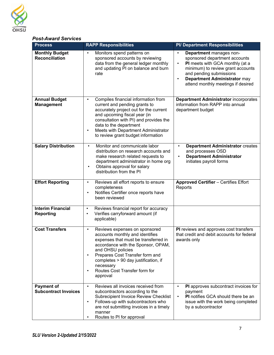

#### *Post-Award Services*

| <b>Process</b>                                   | <b>RAPP Responsibilities</b>                                                                                                                                                                                                                                                                                                                    | <b>PI/ Department Responsibilities</b>                                                                                                                                                                                                                                   |
|--------------------------------------------------|-------------------------------------------------------------------------------------------------------------------------------------------------------------------------------------------------------------------------------------------------------------------------------------------------------------------------------------------------|--------------------------------------------------------------------------------------------------------------------------------------------------------------------------------------------------------------------------------------------------------------------------|
| <b>Monthly Budget</b><br><b>Reconciliation</b>   | Monitors spend patterns on<br>$\bullet$<br>sponsored accounts by reviewing<br>data from the general ledger monthly<br>and updating PI on balance and burn<br>rate                                                                                                                                                                               | Department manages non-<br>$\bullet$<br>sponsored department accounts<br>PI meets with GCA monthly (at a<br>$\bullet$<br>minimum) to review grant accounts<br>and pending submissions<br>Department Administrator may<br>$\bullet$<br>attend monthly meetings if desired |
| <b>Annual Budget</b><br><b>Management</b>        | Compiles financial information from<br>$\bullet$<br>current and pending grants to<br>accurately project out for the current<br>and upcoming fiscal year (in<br>consultation with PI) and provides the<br>data to the department<br>Meets with Department Administrator<br>$\bullet$<br>to review grant budget information                       | <b>Department Administrator incorporates</b><br>information from RAPP into annual<br>department budget                                                                                                                                                                   |
| <b>Salary Distribution</b>                       | Monitor and communicate labor<br>$\bullet$<br>distribution on research accounts and<br>make research related requests to<br>department administrator in home org<br>Obtains approval for salary<br>$\bullet$<br>distribution from the PI                                                                                                        | <b>Department Administrator creates</b><br>$\bullet$<br>and processes OSD<br><b>Department Administrator</b><br>$\bullet$<br>initiates payroll forms                                                                                                                     |
| <b>Effort Reporting</b>                          | Reviews all effort reports to ensure<br>$\bullet$<br>completeness<br>Notifies Certifier once reports have<br>$\bullet$<br>been reviewed                                                                                                                                                                                                         | <b>Approved Certifier - Certifies Effort</b><br>Reports                                                                                                                                                                                                                  |
| <b>Interim Financial</b><br><b>Reporting</b>     | Reviews financial report for accuracy<br>$\bullet$<br>Verifies carryforward amount (if<br>$\bullet$<br>applicable)                                                                                                                                                                                                                              |                                                                                                                                                                                                                                                                          |
| <b>Cost Transfers</b>                            | Reviews expenses on sponsored<br>$\bullet$<br>accounts monthly and identifies<br>expenses that must be transferred in<br>accordance with the Sponsor, OPAM,<br>and OHSU policies<br>Prepares Cost Transfer form and<br>$\bullet$<br>completes > 90 day justification, if<br>necessary<br>Routes Cost Transfer form for<br>$\bullet$<br>approval | PI reviews and approves cost transfers<br>that credit and debit accounts for federal<br>awards only                                                                                                                                                                      |
| <b>Payment of</b><br><b>Subcontract Invoices</b> | Reviews all invoices received from<br>$\bullet$<br>subcontractors according to the<br>Subrecipient Invoice Review Checklist<br>Follows-up with subcontractors who<br>$\bullet$<br>are not submitting invoices in a timely<br>manner<br>Routes to PI for approval                                                                                | PI approves subcontract invoices for<br>$\bullet$<br>payment<br><b>PI</b> notifies GCA should there be an<br>issue with the work being completed<br>by a subcontractor                                                                                                   |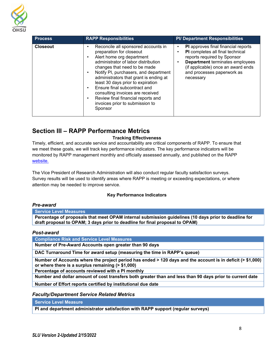

| <b>Process</b>  | <b>RAPP Responsibilities</b>                                                                                                                                                                                                                                                                                                                                                                                                                        | <b>PI/ Department Responsibilities</b>                                                                                                                                                                                                   |
|-----------------|-----------------------------------------------------------------------------------------------------------------------------------------------------------------------------------------------------------------------------------------------------------------------------------------------------------------------------------------------------------------------------------------------------------------------------------------------------|------------------------------------------------------------------------------------------------------------------------------------------------------------------------------------------------------------------------------------------|
| <b>Closeout</b> | Reconcile all sponsored accounts in<br>preparation for closeout<br>Alert home org department<br>administrator of labor distribution<br>changes that need to be made<br>Notify PI, purchasers, and department<br>administrators that grant is ending at<br>least 30 days prior to expiration<br>Ensure final subcontract and<br>consulting invoices are received<br>Review final financial reports and<br>invoices prior to submission to<br>Sponsor | <b>PI</b> approves final financial reports<br>PI completes all final technical<br>reports required by Sponsor<br><b>Department</b> terminates employees<br>(if applicable) once an award ends<br>and processes paperwork as<br>necessary |

# <span id="page-7-0"></span>**Section III – RAPP Performance Metrics**

#### **Tracking Effectiveness**

<span id="page-7-1"></span>Timely, efficient, and accurate service and accountability are critical components of RAPP. To ensure that we meet these goals, we will track key performance indicators. The key performance indicators will be monitored by RAPP management monthly and officially assessed annually, and published on the RAPP [website.](https://o2.ohsu.edu/ohsu-research/upload/RAPP-FAQs-Nov9.pdf)

The Vice President of Research Administration will also conduct regular faculty satisfaction surveys. Survey results will be used to identify areas where RAPP is meeting or exceeding expectations, or where attention may be needed to improve service.

#### **Key Performance Indicators**

#### <span id="page-7-3"></span><span id="page-7-2"></span>*Pre-award*

**Service Level Measures**

**Percentage of proposals that meet OPAM internal submission guidelines (10 days prior to deadline for draft proposal to OPAM; 3 days prior to deadline for final proposal to OPAM)**

#### <span id="page-7-4"></span>*Post-award*

**Compliance Risk and Service Level Measures**

**Number of Pre-Award Accounts open greater than 90 days**

**DAC Turnaround Time for award setup (measuring the time in RAPP's queue)**

**Number of Accounts where the project period has ended > 120 days and the account is in deficit (> \$1,000) or where there is a surplus remaining (> \$1,000)**

**Percentage of accounts reviewed with a PI monthly**

**Number and dollar amount of cost transfers both greater than and less than 90 days prior to current date**

**Number of Effort reports certified by institutional due date**

<span id="page-7-5"></span>*Faculty/Department Service Related Metrics*

**Service Level Measure**

**PI and department administrator satisfaction with RAPP support (regular surveys)**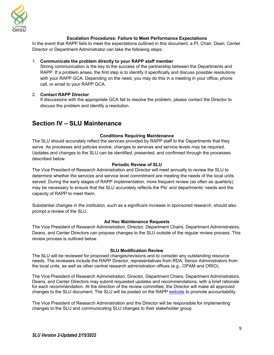

#### **Escalation Procedures: Failure to Meet Performance Expectations**

<span id="page-8-0"></span>In the event that RAPP fails to meet the expectations outlined in this document, a PI, Chair, Dean, Center Director or Department Administrator can take the following steps:

#### 1. **Communicate the problem directly to your RAPP staff member**

Strong communication is the key to the success of the partnership between the Departments and RAPP. If a problem arises, the first step is to identify it specifically and discuss possible resolutions with your RAPP GCA. Depending on the need, you may do this in a meeting in your office, phone call, or email to your RAPP GCA.

#### 2. **Contact RAPP Director**

If discussions with the appropriate GCA fail to resolve the problem, please contact the Director to discuss the problem and identify a resolution.

### <span id="page-8-1"></span>**Section IV – SLU Maintenance**

#### **Conditions Requiring Maintenance**

<span id="page-8-2"></span>The SLU should accurately reflect the services provided by RAPP staff to the Departments that they serve. As processes and policies evolve, changes to services and service levels may be required. Updates and changes to the SLU can be identified, presented, and confirmed through the processes described below.

#### **Periodic Review of SLU**

<span id="page-8-3"></span>The Vice President of Research Administration and Director will meet annually to review the SLU to determine whether the services and service level commitment are meeting the needs of the local units served. During the early stages of RAPP implementation, more frequent review (as often as quarterly) may be necessary to ensure that the SLU accurately reflects the PIs' and departments' needs and the capacity of RAPP to meet them.

Substantial changes in the institution, such as a significant increase in sponsored research, should also prompt a review of the SLU.

#### **Ad Hoc Maintenance Requests**

<span id="page-8-4"></span>The Vice President of Research Administration, Director, Department Chairs, Department Administrators, Deans, and Center Directors can propose changes to the SLU outside of the regular review process. This review process is outlined below.

#### **SLU Modification Review**

<span id="page-8-5"></span>The SLU will be reviewed for proposed changes/revisions and to consider any outstanding resource needs. The reviewers include the RAPP Director, representatives from RDA, Senior Administrators from the local units, as well as other central research administration offices (e.g., OPAM and ORIO).

The Vice President of Research Administration, Director, Department Chairs, Department Administrators, Deans, and Center Directors may submit requested updates and recommendations, with a brief rationale for each recommendation. At the direction of the review committee, the Director will make all approved changes to the SLU document. The SLU will be posted on the RAPP [website](https://www.ohsu.edu/research-innovation/research-administration-partner-pod-rapp) to promote accountability.

The Vice President of Research Administration and the Director will be responsible for implementing changes to the SLU and communicating SLU changes to their stakeholder group